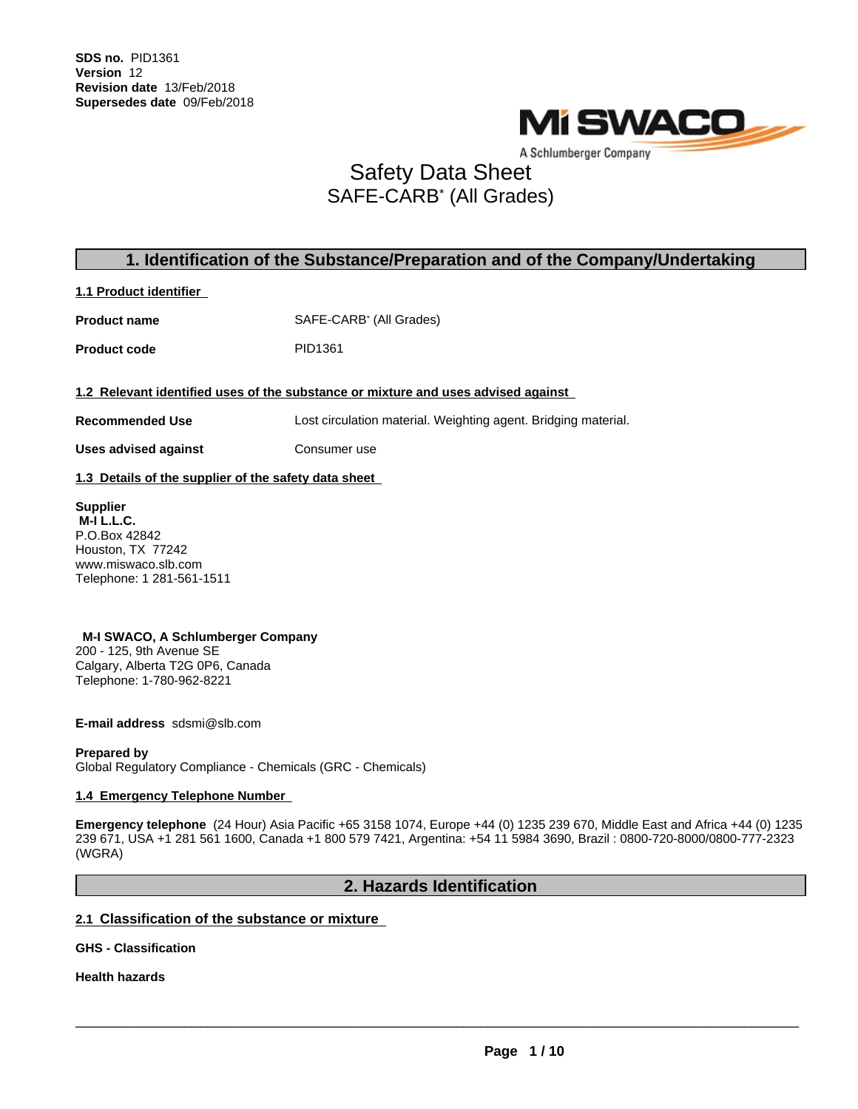

A Schlumberger Company

# Safety Data Sheet SAFE-CARB\* (All Grades)

# **1. Identification of the Substance/Preparation and of the Company/Undertaking**

**1.1 Product identifier**

**Product name** SAFE-CARB<sup>\*</sup> (All Grades)

Product code PID1361

**1.2 Relevant identified uses of the substance or mixture and uses advised against**

**Recommended Use** Lost circulation material. Weighting agent. Bridging material.

**Uses advised against Consumer use** 

**1.3 Details of the supplier of the safety data sheet**

**Supplier M-I L.L.C.** P.O.Box 42842 Houston, TX 77242 www.miswaco.slb.com Telephone: 1 281-561-1511

**M-I SWACO, A Schlumberger Company** 200 - 125, 9th Avenue SE Calgary, Alberta T2G 0P6, Canada Telephone: 1-780-962-8221

**E-mail address** sdsmi@slb.com

**Prepared by** Global Regulatory Compliance - Chemicals (GRC - Chemicals)

### **1.4 Emergency Telephone Number**

**Emergency telephone** (24 Hour) Asia Pacific +65 3158 1074, Europe +44 (0) 1235 239 670, Middle East and Africa +44 (0) 1235 239 671, USA +1 281 561 1600, Canada +1 800 579 7421, Argentina: +54 11 5984 3690, Brazil : 0800-720-8000/0800-777-2323 (WGRA)

### **2. Hazards Identification**

### **2.1 Classification of the substance or mixture**

**GHS - Classification**

**Health hazards**

 $\overline{\phantom{a}}$  ,  $\overline{\phantom{a}}$  ,  $\overline{\phantom{a}}$  ,  $\overline{\phantom{a}}$  ,  $\overline{\phantom{a}}$  ,  $\overline{\phantom{a}}$  ,  $\overline{\phantom{a}}$  ,  $\overline{\phantom{a}}$  ,  $\overline{\phantom{a}}$  ,  $\overline{\phantom{a}}$  ,  $\overline{\phantom{a}}$  ,  $\overline{\phantom{a}}$  ,  $\overline{\phantom{a}}$  ,  $\overline{\phantom{a}}$  ,  $\overline{\phantom{a}}$  ,  $\overline{\phantom{a}}$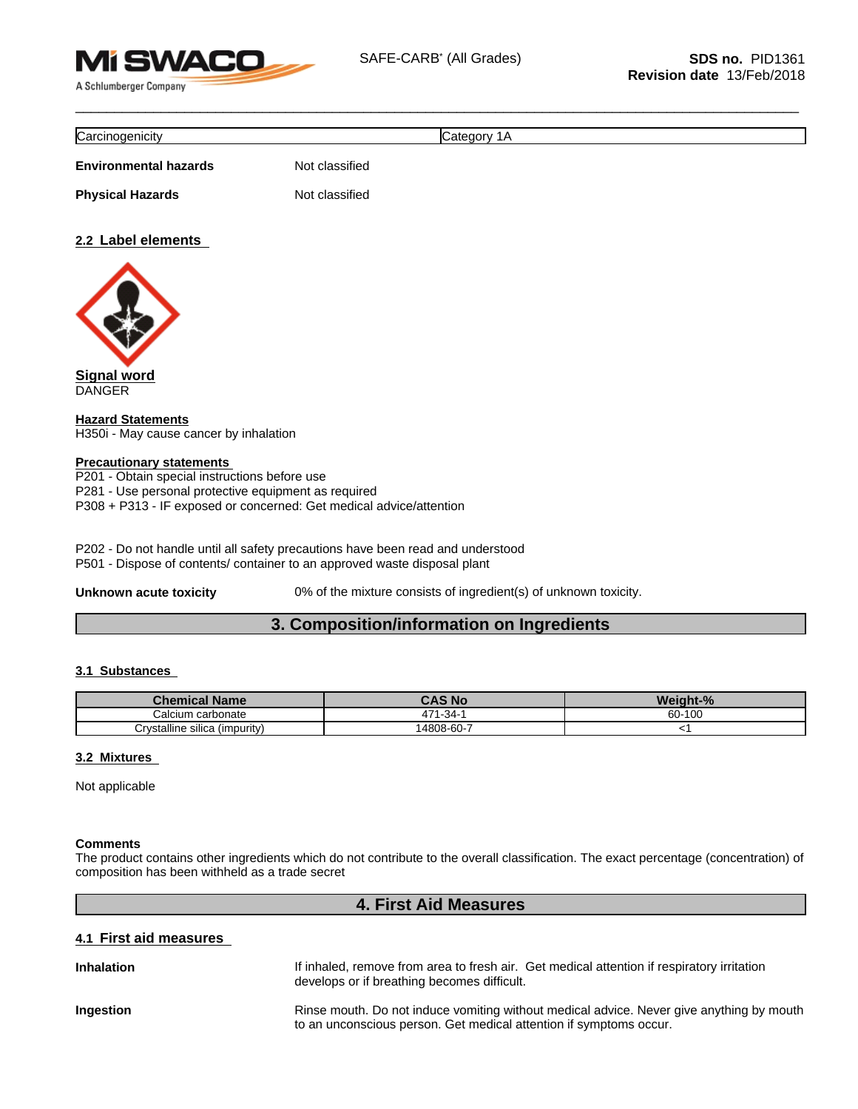

| ∽<br>nicity -<br>.<br>سمت |  |
|---------------------------|--|
|                           |  |

**Environmental hazards** Not classified

**Physical Hazards** Not classified

### **2.2 Label elements**



**Signal word** DANGER

**Hazard Statements** H350i - May cause cancer by inhalation

### **Precautionary statements**

P201 - Obtain special instructions before use P281 - Use personal protective equipment as required P308 + P313 - IF exposed or concerned: Get medical advice/attention

P202 - Do not handle until all safety precautions have been read and understood

P501 - Dispose of contents/ container to an approved waste disposal plant

**Unknown acute toxicity** 0% of the mixture consists of ingredient(s) of unknown toxicity.

# **3. Composition/information on Ingredients**

### **3.1 Substances**

| emical Name                   | .<br>N.<br>- 17        | $\mathbf{a}$<br>. |
|-------------------------------|------------------------|-------------------|
| ~<br>ı carbonate<br>Calcium   | -34-<br>$\overline{ }$ | $-100$<br>$60 -$  |
| Crystalline silica (impurity) | -<br>4808-60-          |                   |

### **3.2 Mixtures**

Not applicable

### **Comments**

The product contains other ingredients which do not contribute to the overall classification. The exact percentage (concentration) of composition has been withheld as a trade secret

### **4. First Aid Measures**

### **4.1 First aid measures**

| <b>Inhalation</b> | If inhaled, remove from area to fresh air. Get medical attention if respiratory irritation<br>develops or if breathing becomes difficult.                      |
|-------------------|----------------------------------------------------------------------------------------------------------------------------------------------------------------|
| Ingestion         | Rinse mouth. Do not induce vomiting without medical advice. Never give anything by mouth<br>to an unconscious person. Get medical attention if symptoms occur. |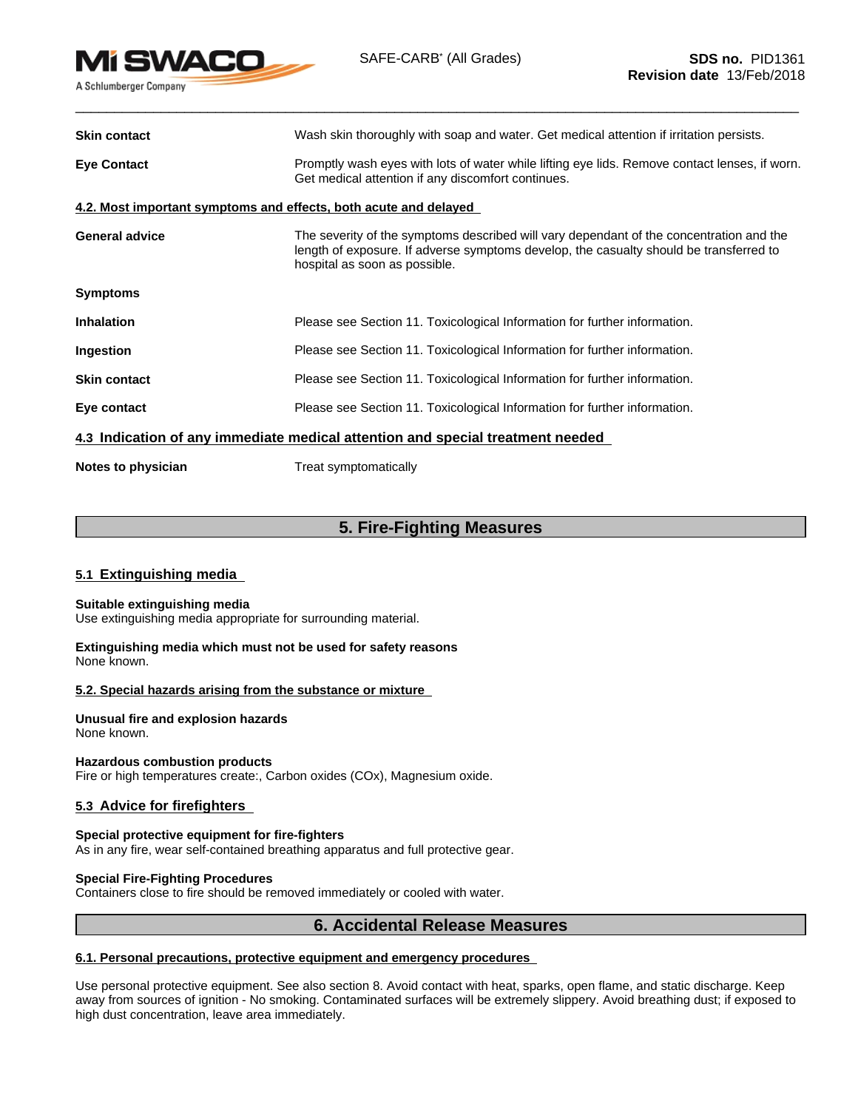

| <b>Skin contact</b>   | Wash skin thoroughly with soap and water. Get medical attention if irritation persists.                                                                                                                            |
|-----------------------|--------------------------------------------------------------------------------------------------------------------------------------------------------------------------------------------------------------------|
| <b>Eye Contact</b>    | Promptly wash eyes with lots of water while lifting eye lids. Remove contact lenses, if worn.<br>Get medical attention if any discomfort continues.                                                                |
|                       | 4.2. Most important symptoms and effects, both acute and delayed                                                                                                                                                   |
| <b>General advice</b> | The severity of the symptoms described will vary dependant of the concentration and the<br>length of exposure. If adverse symptoms develop, the casualty should be transferred to<br>hospital as soon as possible. |
| <b>Symptoms</b>       |                                                                                                                                                                                                                    |
| <b>Inhalation</b>     | Please see Section 11. Toxicological Information for further information.                                                                                                                                          |
| Ingestion             | Please see Section 11. Toxicological Information for further information.                                                                                                                                          |
| <b>Skin contact</b>   | Please see Section 11. Toxicological Information for further information.                                                                                                                                          |
| Eye contact           | Please see Section 11. Toxicological Information for further information.                                                                                                                                          |
|                       | 4.3 Indication of any immediate medical attention and special treatment needed                                                                                                                                     |
| Notes to physician    | Treat symptomatically                                                                                                                                                                                              |

# **5. Fire-Fighting Measures**

### **5.1 Extinguishing media**

### **Suitable extinguishing media**

Use extinguishing media appropriate for surrounding material.

**Extinguishing media which must not be used for safety reasons** None known.

### **5.2. Special hazards arising from the substance or mixture**

**Unusual fire and explosion hazards** None known.

**Hazardous combustion products**

Fire or high temperatures create:, Carbon oxides (COx), Magnesium oxide.

### **5.3 Advice for firefighters**

### **Special protective equipment for fire-fighters**

As in any fire, wear self-contained breathing apparatus and full protective gear.

#### **Special Fire-Fighting Procedures**

Containers close to fire should be removed immediately or cooled with water.

### **6. Accidental Release Measures**

### **6.1. Personal precautions, protective equipment and emergency procedures**

Use personal protective equipment. See also section 8. Avoid contact with heat, sparks, open flame, and static discharge. Keep away from sources of ignition - No smoking. Contaminated surfaces will be extremely slippery. Avoid breathing dust; if exposed to high dust concentration, leave area immediately.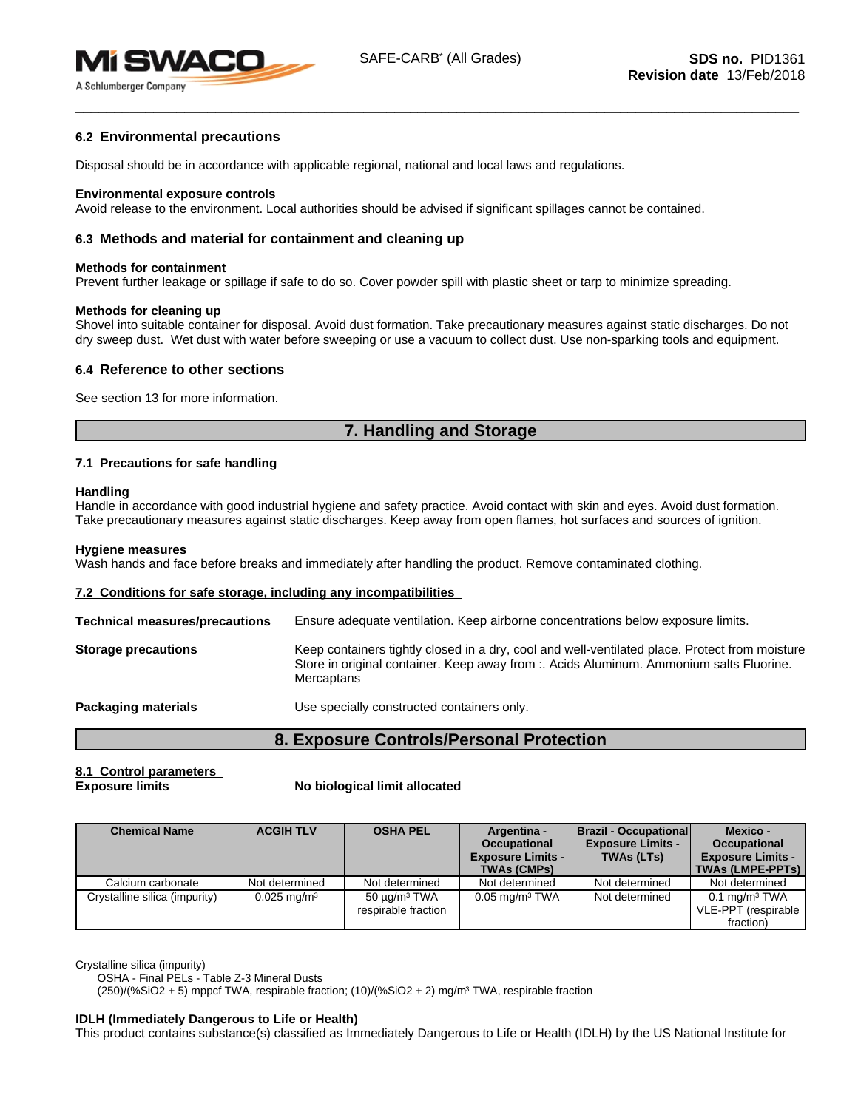

### **6.2 Environmental precautions**

Disposal should be in accordance with applicable regional, national and local laws and regulations.

#### **Environmental exposure controls**

Avoid release to the environment. Local authorities should be advised if significant spillages cannot be contained.

### **6.3 Methods and material for containment and cleaning up**

#### **Methods for containment**

Prevent further leakage or spillage if safe to do so. Cover powder spill with plastic sheet or tarp to minimize spreading.

#### **Methods for cleaning up**

Shovel into suitable container for disposal. Avoid dust formation. Take precautionary measures against static discharges. Do not dry sweep dust. Wet dust with water before sweeping or use a vacuum to collect dust. Use non-sparking tools and equipment.

### **6.4 Reference to other sections**

See section 13 for more information.

# **7. Handling and Storage**

### **7.1 Precautions for safe handling**

#### **Handling**

Handle in accordance with good industrial hygiene and safety practice. Avoid contact with skin and eyes. Avoid dust formation. Take precautionary measures against static discharges. Keep away from open flames, hot surfaces and sources of ignition.

#### **Hygiene measures**

Wash hands and face before breaks and immediately after handling the product. Remove contaminated clothing.

#### **7.2 Conditions for safe storage, including any incompatibilities**

| <b>Technical measures/precautions</b> | Ensure adequate ventilation. Keep airborne concentrations below exposure limits.                                                                                                                        |
|---------------------------------------|---------------------------------------------------------------------------------------------------------------------------------------------------------------------------------------------------------|
| <b>Storage precautions</b>            | Keep containers tightly closed in a dry, cool and well-ventilated place. Protect from moisture<br>Store in original container. Keep away from :. Acids Aluminum. Ammonium salts Fluorine.<br>Mercaptans |
| Packaging materials                   | Use specially constructed containers only.                                                                                                                                                              |

```
8. Exposure Controls/Personal Protection
```
# **8.1 Control parameters**

#### **Exposure limits No biological limit allocated**

| <b>Chemical Name</b>          | <b>ACGIH TLV</b>          | <b>OSHA PEL</b>                                 | Argentina -<br><b>Occupational</b><br><b>Exposure Limits -</b><br><b>TWAs (CMPs)</b> | <b>Brazil - Occupational</b><br><b>Exposure Limits -</b><br><b>TWAs (LTs)</b> | Mexico -<br>Occupational<br><b>Exposure Limits -</b><br><b>TWAs (LMPE-PPTs)</b> |
|-------------------------------|---------------------------|-------------------------------------------------|--------------------------------------------------------------------------------------|-------------------------------------------------------------------------------|---------------------------------------------------------------------------------|
| Calcium carbonate             | Not determined            | Not determined                                  | Not determined                                                                       | Not determined                                                                | Not determined                                                                  |
| Crystalline silica (impurity) | $0.025 \,\mathrm{mq/m^3}$ | 50 μg/m <sup>3</sup> TWA<br>respirable fraction | $0.05$ mg/m <sup>3</sup> TWA                                                         | Not determined                                                                | $0.1$ mg/m <sup>3</sup> TWA<br>VLE-PPT (respirable<br>fraction)                 |

Crystalline silica (impurity)

OSHA - Final PELs - Table Z-3 Mineral Dusts

(250)/(%SiO2 + 5) mppcf TWA, respirable fraction; (10)/(%SiO2 + 2) mg/m<sup>3</sup> TWA, respirable fraction

#### **IDLH (Immediately Dangerous to Life or Health)**

This product contains substance(s) classified as Immediately Dangerous to Life or Health (IDLH) by the US National Institute for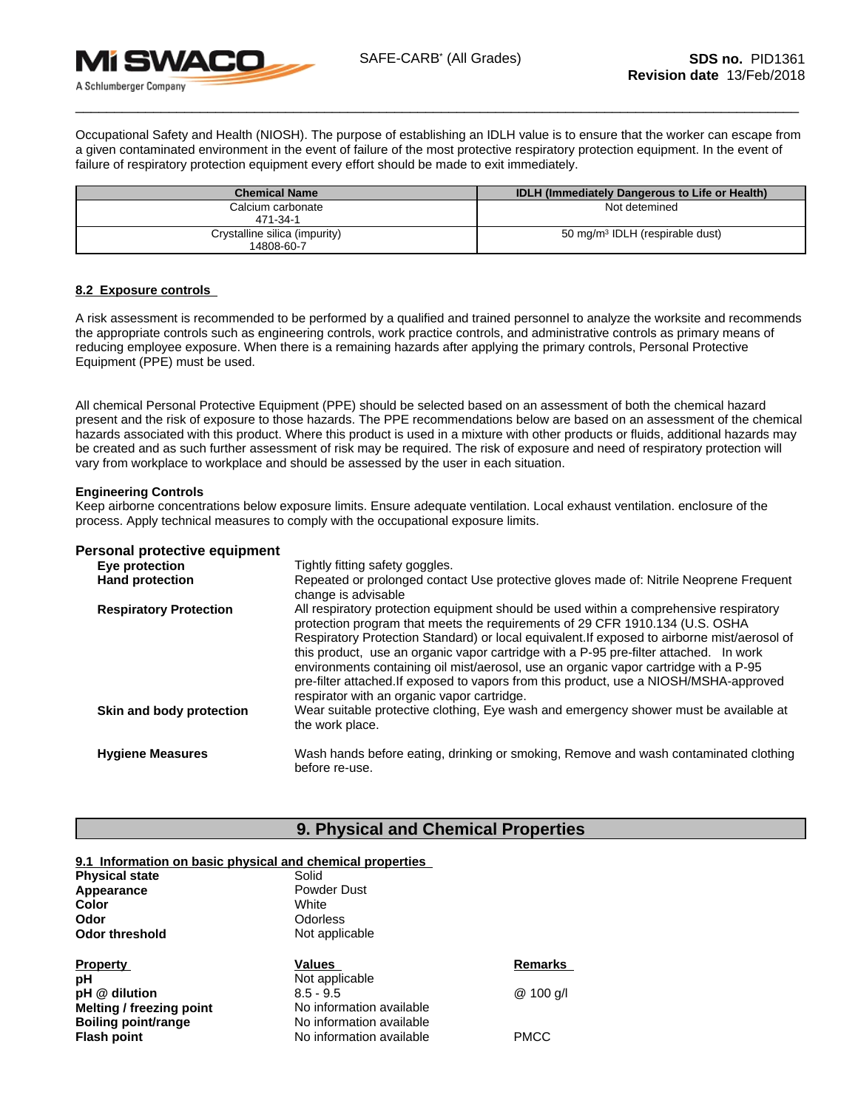

Occupational Safety and Health (NIOSH). The purpose of establishing an IDLH value is to ensure thatthe worker can escape from a given contaminated environment in the event of failure of the most protective respiratory protection equipment. In the event of failure of respiratory protection equipment every effort should be made to exit immediately.

| <b>Chemical Name</b>                        | <b>IDLH (Immediately Dangerous to Life or Health)</b> |
|---------------------------------------------|-------------------------------------------------------|
| Calcium carbonate<br>471-34-1               | Not detemined                                         |
| Crystalline silica (impurity)<br>14808-60-7 | 50 mg/m <sup>3</sup> IDLH (respirable dust)           |

### **8.2 Exposure controls**

A risk assessmentis recommended to be performed by a qualified and trained personnel to analyze the worksite and recommends the appropriate controls such as engineering controls, work practice controls, and administrative controls as primary means of reducing employee exposure. When there is a remaining hazards after applying the primary controls, Personal Protective Equipment (PPE) must be used.

All chemical Personal Protective Equipment (PPE) should be selected based on an assessment of both the chemical hazard present and the risk of exposure to those hazards. The PPE recommendations below are based on an assessment of the chemical hazards associated with this product. Where this product is used in a mixture with other products or fluids, additional hazards may be created and as such further assessment of risk may be required. The risk of exposure and need of respiratory protection will vary from workplace to workplace and should be assessed by the user in each situation.

### **Engineering Controls**

Keep airborne concentrations below exposure limits. Ensure adequate ventilation. Local exhaust ventilation. enclosure of the process. Apply technical measures to comply with the occupational exposure limits.

#### **Personal protective equipment**

| Eye protection                | Tightly fitting safety goggles.                                                                                                                                                                                                                                                                                                                                                                                                                                                                                                                                                                 |
|-------------------------------|-------------------------------------------------------------------------------------------------------------------------------------------------------------------------------------------------------------------------------------------------------------------------------------------------------------------------------------------------------------------------------------------------------------------------------------------------------------------------------------------------------------------------------------------------------------------------------------------------|
| <b>Hand protection</b>        | Repeated or prolonged contact Use protective gloves made of: Nitrile Neoprene Frequent<br>change is advisable                                                                                                                                                                                                                                                                                                                                                                                                                                                                                   |
| <b>Respiratory Protection</b> | All respiratory protection equipment should be used within a comprehensive respiratory<br>protection program that meets the requirements of 29 CFR 1910.134 (U.S. OSHA<br>Respiratory Protection Standard) or local equivalent. If exposed to airborne mist/aerosol of<br>this product, use an organic vapor cartridge with a P-95 pre-filter attached. In work<br>environments containing oil mist/aerosol, use an organic vapor cartridge with a P-95<br>pre-filter attached.If exposed to vapors from this product, use a NIOSH/MSHA-approved<br>respirator with an organic vapor cartridge. |
| Skin and body protection      | Wear suitable protective clothing, Eye wash and emergency shower must be available at<br>the work place.                                                                                                                                                                                                                                                                                                                                                                                                                                                                                        |
| <b>Hygiene Measures</b>       | Wash hands before eating, drinking or smoking, Remove and wash contaminated clothing<br>before re-use.                                                                                                                                                                                                                                                                                                                                                                                                                                                                                          |

### **9. Physical and Chemical Properties**

### **9.1 Information on basic physical and chemical properties**

| <b>Physical state</b>           | Solid                    |                |  |
|---------------------------------|--------------------------|----------------|--|
| Appearance                      | <b>Powder Dust</b>       |                |  |
| Color                           | White                    |                |  |
| Odor                            | <b>Odorless</b>          |                |  |
| <b>Odor threshold</b>           | Not applicable           |                |  |
| <b>Property</b>                 | Values                   | <b>Remarks</b> |  |
| рH                              | Not applicable           |                |  |
| pH @ dilution                   | $8.5 - 9.5$              | @ 100 g/l      |  |
|                                 |                          |                |  |
| <b>Melting / freezing point</b> | No information available |                |  |
| <b>Boiling point/range</b>      | No information available |                |  |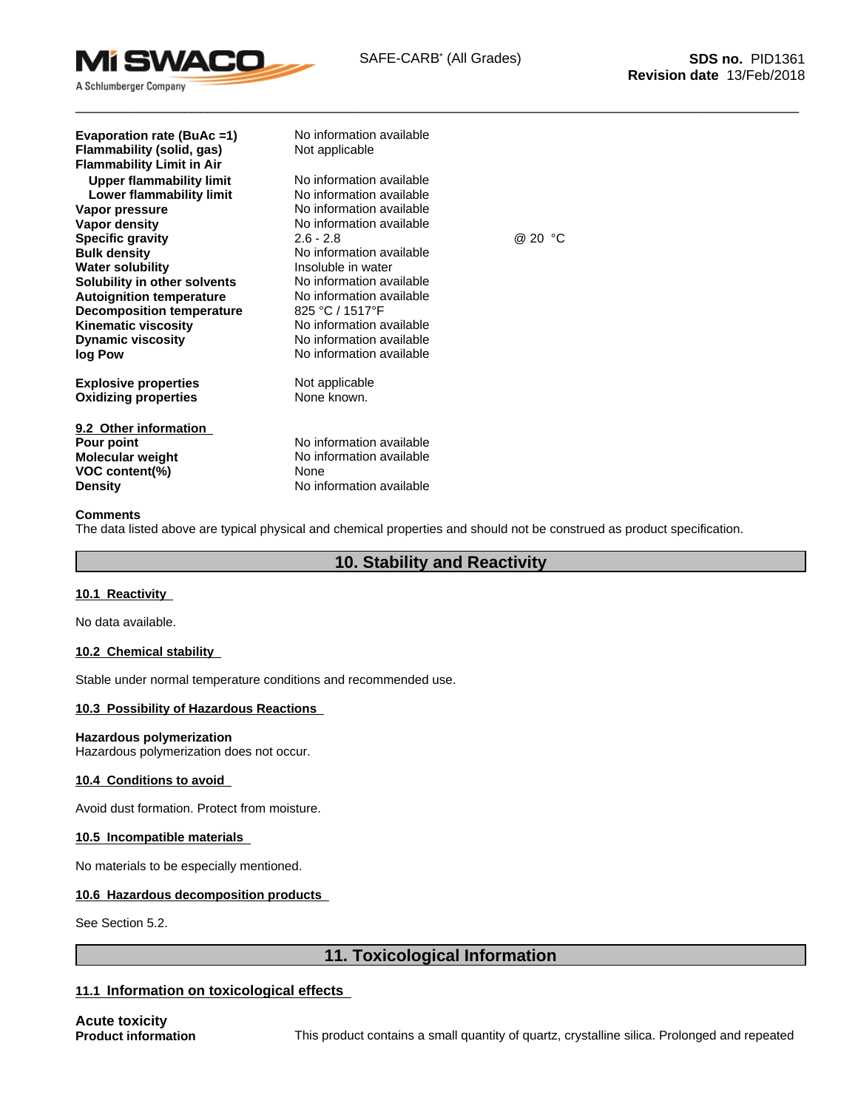

| Evaporation rate (BuAc =1)<br>Flammability (solid, gas)<br><b>Flammability Limit in Air</b> | No information available<br>Not applicable |         |
|---------------------------------------------------------------------------------------------|--------------------------------------------|---------|
| <b>Upper flammability limit</b>                                                             | No information available                   |         |
| Lower flammability limit                                                                    | No information available                   |         |
| Vapor pressure                                                                              | No information available                   |         |
| Vapor density                                                                               | No information available                   |         |
| <b>Specific gravity</b>                                                                     | $2.6 - 2.8$                                | @ 20 °C |
| <b>Bulk density</b>                                                                         | No information available                   |         |
| <b>Water solubility</b>                                                                     | Insoluble in water                         |         |
| Solubility in other solvents                                                                | No information available                   |         |
| <b>Autoignition temperature</b>                                                             | No information available                   |         |
| <b>Decomposition temperature</b>                                                            | 825 °C / 1517°F                            |         |
| <b>Kinematic viscosity</b>                                                                  | No information available                   |         |
| <b>Dynamic viscosity</b>                                                                    | No information available                   |         |
| log Pow                                                                                     | No information available                   |         |
| <b>Explosive properties</b>                                                                 | Not applicable                             |         |
| <b>Oxidizing properties</b>                                                                 | None known.                                |         |
| 9.2 Other information                                                                       |                                            |         |
| Pour point                                                                                  | No information available                   |         |
| Molecular weight                                                                            | No information available                   |         |
| VOC content(%)                                                                              | None                                       |         |
| <b>Density</b>                                                                              | No information available                   |         |

### **Comments**

The data listed above are typical physical and chemical properties and should not be construed as product specification.

### **10. Stability and Reactivity**

### **10.1 Reactivity**

No data available.

### **10.2 Chemical stability**

Stable under normal temperature conditions and recommended use.

### **10.3 Possibility of Hazardous Reactions**

#### **Hazardous polymerization**

Hazardous polymerization does not occur.

### **10.4 Conditions to avoid**

Avoid dust formation. Protect from moisture.

### **10.5 Incompatible materials**

No materials to be especially mentioned.

### **10.6 Hazardous decomposition products**

See Section 5.2.

## **11. Toxicological Information**

### **11.1 Information on toxicological effects**

**Acute toxicity**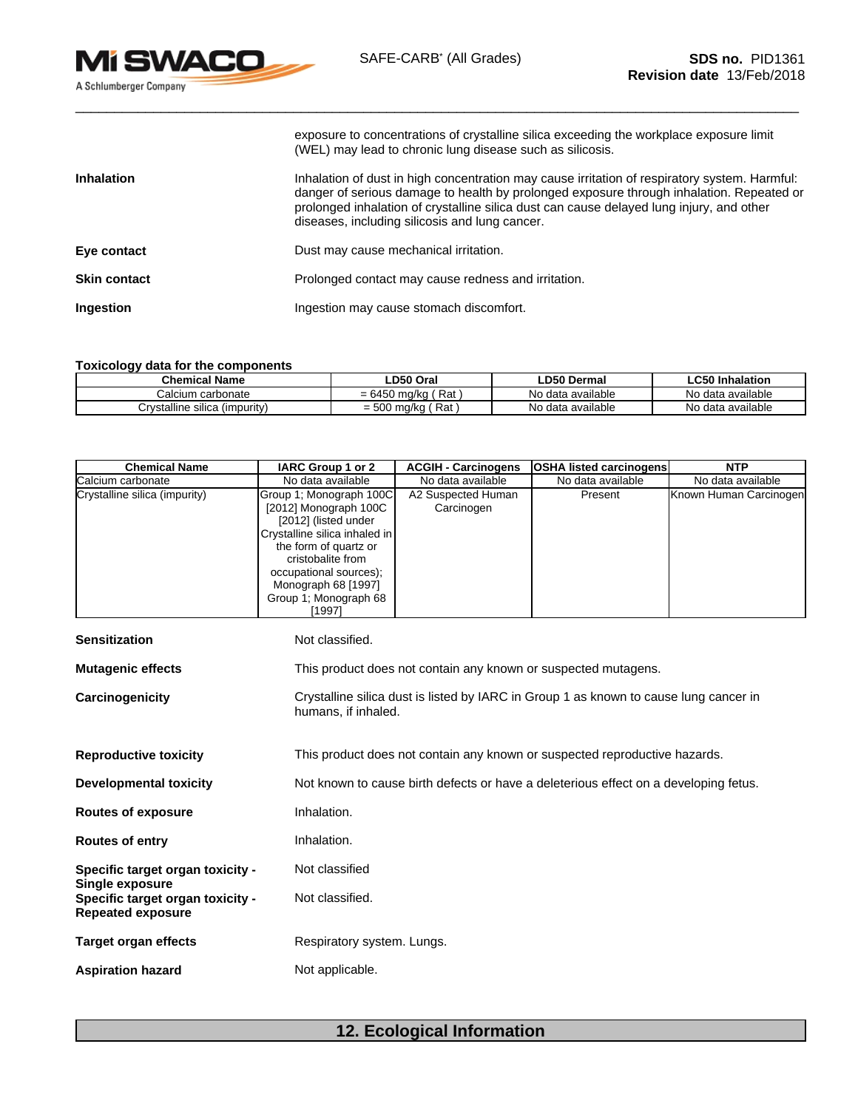exposure to concentrations of crystalline silica exceeding the workplace exposure limit (WEL) may lead to chronic lung disease such as silicosis.

| <b>Inhalation</b>   | Inhalation of dust in high concentration may cause irritation of respiratory system. Harmful:<br>danger of serious damage to health by prolonged exposure through inhalation. Repeated or<br>prolonged inhalation of crystalline silica dust can cause delayed lung injury, and other<br>diseases, including silicosis and lung cancer. |
|---------------------|-----------------------------------------------------------------------------------------------------------------------------------------------------------------------------------------------------------------------------------------------------------------------------------------------------------------------------------------|
| Eye contact         | Dust may cause mechanical irritation.                                                                                                                                                                                                                                                                                                   |
| <b>Skin contact</b> | Prolonged contact may cause redness and irritation.                                                                                                                                                                                                                                                                                     |
| <b>Ingestion</b>    | Ingestion may cause stomach discomfort.                                                                                                                                                                                                                                                                                                 |

### **Toxicology data for the components**

| <b>Chemical Name</b>               | LD50 Oral                  | <b>LD50 Dermal</b> | <b>LC50 Inhalation</b> |
|------------------------------------|----------------------------|--------------------|------------------------|
| Calcium carbonate                  | ′ Rat<br>ma/ka<br>$= 6450$ | No data available  | No data available      |
| Crystalline silica /<br>(impurity) | Rat<br>⊏∩∩<br>= 500 ma/ka  | No data available  | No data available      |

| <b>Chemical Name</b>                                         | IARC Group 1 or 2                                                                                                                                                                                                                           | <b>ACGIH - Carcinogens</b>       | <b>OSHA listed carcinogens</b>                                                        | <b>NTP</b>             |
|--------------------------------------------------------------|---------------------------------------------------------------------------------------------------------------------------------------------------------------------------------------------------------------------------------------------|----------------------------------|---------------------------------------------------------------------------------------|------------------------|
| Calcium carbonate                                            | No data available                                                                                                                                                                                                                           | No data available                | No data available                                                                     | No data available      |
| Crystalline silica (impurity)                                | Group 1; Monograph 100C<br>[2012] Monograph 100C<br>[2012] (listed under<br>Crystalline silica inhaled in<br>the form of quartz or<br>cristobalite from<br>occupational sources);<br>Monograph 68 [1997]<br>Group 1; Monograph 68<br>[1997] | A2 Suspected Human<br>Carcinogen | Present                                                                               | Known Human Carcinogen |
| <b>Sensitization</b>                                         | Not classified.                                                                                                                                                                                                                             |                                  |                                                                                       |                        |
| <b>Mutagenic effects</b>                                     |                                                                                                                                                                                                                                             |                                  | This product does not contain any known or suspected mutagens.                        |                        |
| Carcinogenicity                                              | humans, if inhaled.                                                                                                                                                                                                                         |                                  | Crystalline silica dust is listed by IARC in Group 1 as known to cause lung cancer in |                        |
| <b>Reproductive toxicity</b>                                 |                                                                                                                                                                                                                                             |                                  | This product does not contain any known or suspected reproductive hazards.            |                        |
| <b>Developmental toxicity</b>                                |                                                                                                                                                                                                                                             |                                  | Not known to cause birth defects or have a deleterious effect on a developing fetus.  |                        |
| <b>Routes of exposure</b>                                    | Inhalation.                                                                                                                                                                                                                                 |                                  |                                                                                       |                        |
| <b>Routes of entry</b>                                       | Inhalation.                                                                                                                                                                                                                                 |                                  |                                                                                       |                        |
| Specific target organ toxicity -<br><b>Single exposure</b>   | Not classified                                                                                                                                                                                                                              |                                  |                                                                                       |                        |
| Specific target organ toxicity -<br><b>Repeated exposure</b> | Not classified.                                                                                                                                                                                                                             |                                  |                                                                                       |                        |
| <b>Target organ effects</b>                                  | Respiratory system. Lungs.                                                                                                                                                                                                                  |                                  |                                                                                       |                        |
| <b>Aspiration hazard</b>                                     | Not applicable.                                                                                                                                                                                                                             |                                  |                                                                                       |                        |

# **12. Ecological Information**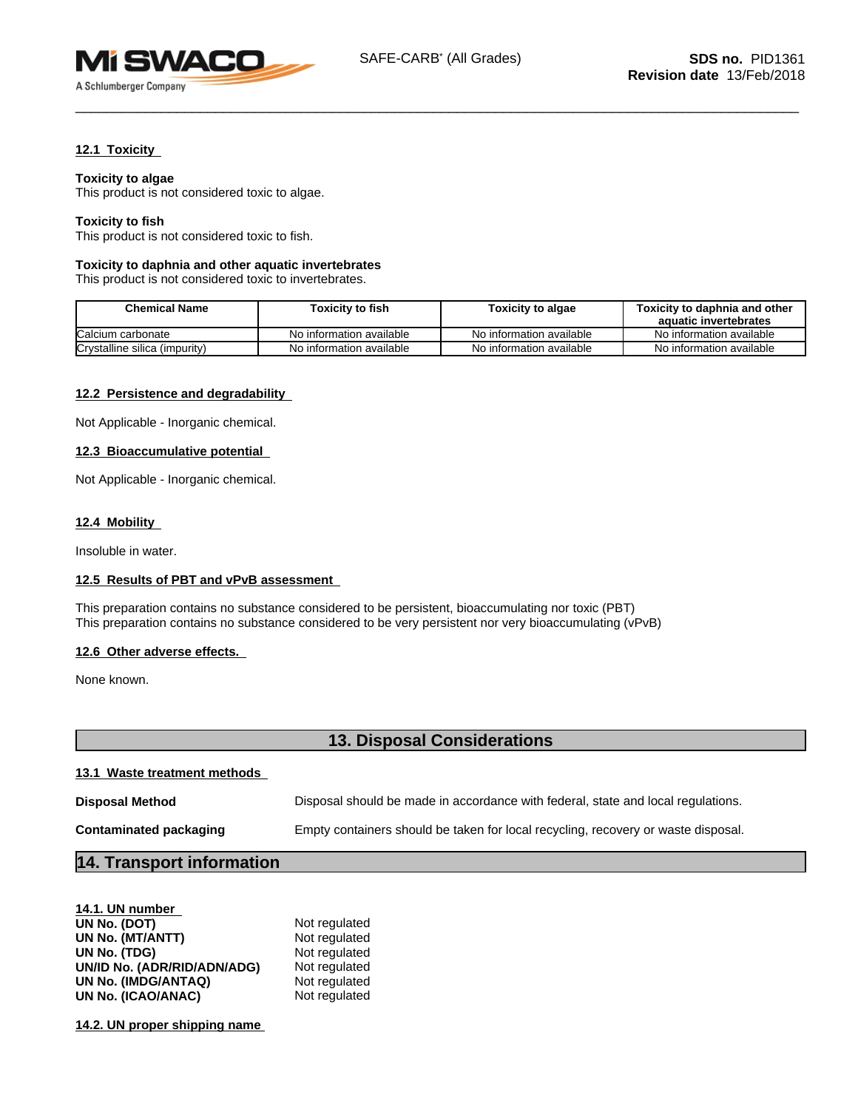

### **12.1 Toxicity**

**Toxicity to algae**

This product is not considered toxic to algae.

### **Toxicity to fish**

This product is not considered toxic to fish.

#### **Toxicity to daphnia and other aquatic invertebrates**

This product is not considered toxic to invertebrates.

| Chemical Name                 | Toxicity to fish         | Toxicity to algae        | Toxicity to daphnia and other<br>aquatic invertebrates |
|-------------------------------|--------------------------|--------------------------|--------------------------------------------------------|
| Calcium carbonate             | No information available | No information available | No information available                               |
| Crystalline silica (impurity) | No information available | No information available | No information available                               |

### **12.2 Persistence and degradability**

Not Applicable - Inorganic chemical.

### **12.3 Bioaccumulative potential**

Not Applicable - Inorganic chemical.

### **12.4 Mobility**

Insoluble in water.

#### **12.5 Results of PBT and vPvB assessment**

This preparation contains no substance considered to be persistent, bioaccumulating nor toxic (PBT) This preparation contains no substance considered to be very persistent nor very bioaccumulating (vPvB)

#### **12.6 Other adverse effects.**

None known.

# **13. Disposal Considerations**

### **13.1 Waste treatment methods**

| <b>Disposal Method</b> | Disposal should be made in accordance with federal, state and local regulations.  |
|------------------------|-----------------------------------------------------------------------------------|
| Contaminated packaging | Empty containers should be taken for local recycling, recovery or waste disposal. |

# **14. Transport information**

| Not regulated |
|---------------|
| Not regulated |
| Not regulated |
| Not regulated |
| Not regulated |
| Not regulated |
|               |

**14.2. UN proper shipping name**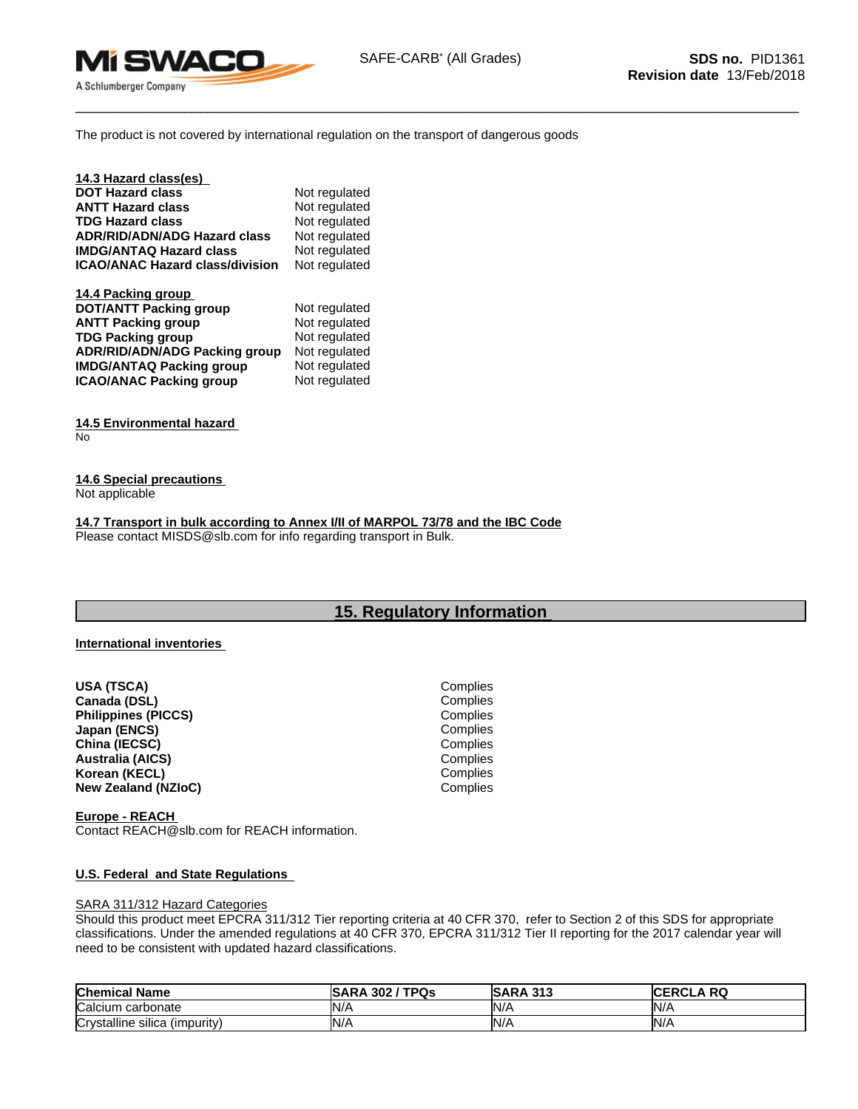

The product is not covered by international regulation on the transport of dangerous goods

| 14.3 Hazard class(es)                  |               |
|----------------------------------------|---------------|
| <b>DOT Hazard class</b>                | Not regulated |
| <b>ANTT Hazard class</b>               | Not regulated |
| <b>TDG Hazard class</b>                | Not regulated |
| <b>ADR/RID/ADN/ADG Hazard class</b>    | Not regulated |
| <b>IMDG/ANTAQ Hazard class</b>         | Not regulated |
| <b>ICAO/ANAC Hazard class/division</b> | Not regulated |
| 14.4 Packing group                     |               |
| <b>DOT/ANTT Packing group</b>          | Not regulated |
| <b>ANTT Packing group</b>              | Not regulated |
| <b>TDG Packing group</b>               | Not regulated |
| ADR/RID/ADN/ADG Packing group          | Not regulated |
| <b>IMDG/ANTAQ Packing group</b>        | Not regulated |
| <b>ICAO/ANAC Packing group</b>         | Not regulated |

**14.5 Environmental hazard** No

**14.6 Special precautions**

Not applicable

**14.7 Transport in bulk according to Annex I/II of MARPOL 73/78 and the IBC Code** Please contact MISDS@slb.com for info regarding transport in Bulk.

### **15. Regulatory Information**

### **International inventories**

**USA (TSCA)** Complies **Canada (DSL)** Complies **Philippines (PICCS) Japan (ENCS)** Complies<br> **Complies**<br>
Complies<br>
Complies **China (IECSC)** Complies<br> **Australia (AICS)** Complies<br>
Complies **Australia (AICS)** Complies **Korean (KECL) New Zealand (NZIoC)** Complies

**Europe - REACH**  Contact REACH@slb.com for REACH information.

#### **U.S. Federal and State Regulations**

#### SARA 311/312 Hazard Categories

Should this product meet EPCRA 311/312 Tier reporting criteria at 40 CFR 370, refer to Section 2 of this SDS for appropriate classifications. Under the amended regulations at 40 CFR 370, EPCRA 311/312 Tier II reporting for the 2017 calendar year will need to be consistent with updated hazard classifications.

| <b>Chemical Name</b>          | 'TPQs<br><b>ISARA 302</b> | <b>SARA 313</b> | <b>RQ</b><br>D.<br>:rula<br>16 E |
|-------------------------------|---------------------------|-----------------|----------------------------------|
| <b>Calcium</b><br>carbonate   | IN <sub>I</sub>           | N/f             | N/r                              |
| Crystalline silica (impurity) | IN/L                      | N/A             | N/A                              |